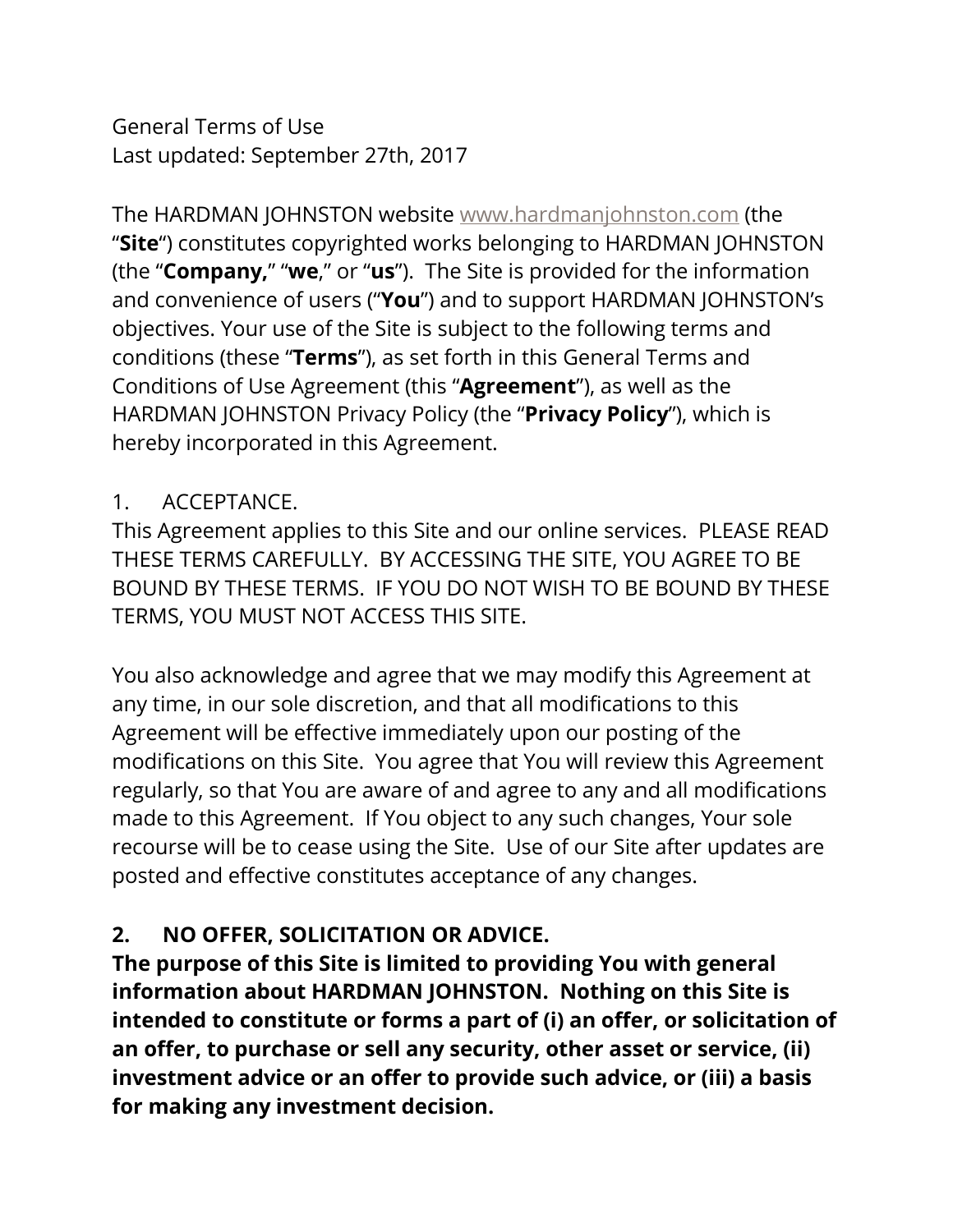General Terms of Use Last updated: September 27th, 2017

The HARDMAN JOHNSTON website [www.hardmanjohnston.com](http://www.[address].com/) (the "**Site**") constitutes copyrighted works belonging to HARDMAN JOHNSTON (the "**Company,**" "**we**," or "**us**"). The Site is provided for the information and convenience of users ("**You**") and to support HARDMAN JOHNSTON's objectives. Your use of the Site is subject to the following terms and conditions (these "**Terms**"), as set forth in this General Terms and Conditions of Use Agreement (this "**Agreement**"), as well as the HARDMAN JOHNSTON Privacy Policy (the "**Privacy Policy**"), which is hereby incorporated in this Agreement.

#### 1. ACCEPTANCE.

This Agreement applies to this Site and our online services. PLEASE READ THESE TERMS CAREFULLY. BY ACCESSING THE SITE, YOU AGREE TO BE BOUND BY THESE TERMS. IF YOU DO NOT WISH TO BE BOUND BY THESE TERMS, YOU MUST NOT ACCESS THIS SITE.

You also acknowledge and agree that we may modify this Agreement at any time, in our sole discretion, and that all modifications to this Agreement will be effective immediately upon our posting of the modifications on this Site. You agree that You will review this Agreement regularly, so that You are aware of and agree to any and all modifications made to this Agreement. If You object to any such changes, Your sole recourse will be to cease using the Site. Use of our Site after updates are posted and effective constitutes acceptance of any changes.

## **2. NO OFFER, SOLICITATION OR ADVICE.**

**The purpose of this Site is limited to providing You with general information about HARDMAN JOHNSTON. Nothing on this Site is intended to constitute or forms a part of (i) an offer, or solicitation of an offer, to purchase or sell any security, other asset or service, (ii) investment advice or an offer to provide such advice, or (iii) a basis for making any investment decision.**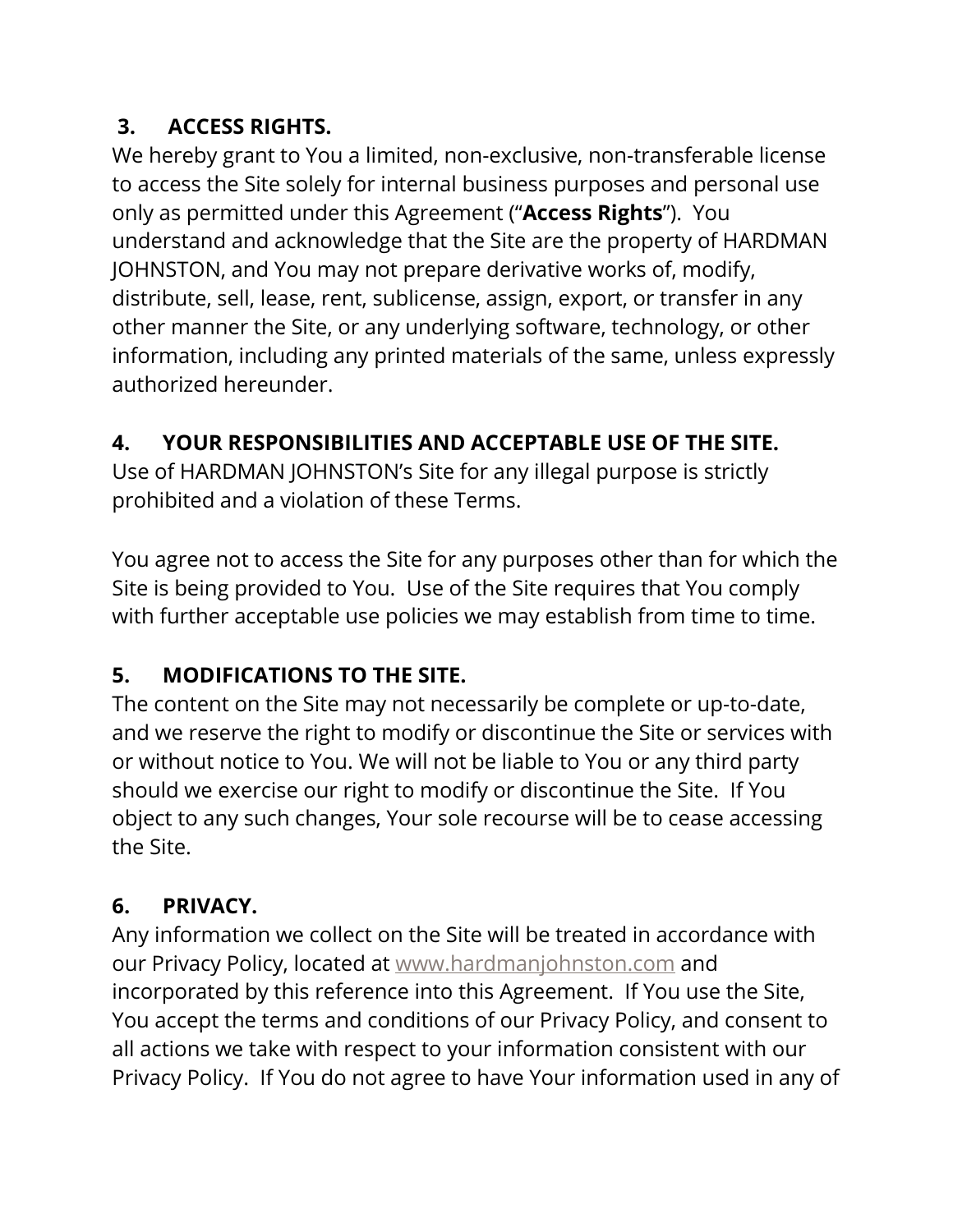## **3. ACCESS RIGHTS.**

We hereby grant to You a limited, non-exclusive, non-transferable license to access the Site solely for internal business purposes and personal use only as permitted under this Agreement ("**Access Rights**"). You understand and acknowledge that the Site are the property of HARDMAN JOHNSTON, and You may not prepare derivative works of, modify, distribute, sell, lease, rent, sublicense, assign, export, or transfer in any other manner the Site, or any underlying software, technology, or other information, including any printed materials of the same, unless expressly authorized hereunder.

## **4. YOUR RESPONSIBILITIES AND ACCEPTABLE USE OF THE SITE.**

Use of HARDMAN JOHNSTON's Site for any illegal purpose is strictly prohibited and a violation of these Terms.

You agree not to access the Site for any purposes other than for which the Site is being provided to You. Use of the Site requires that You comply with further acceptable use policies we may establish from time to time.

## **5. MODIFICATIONS TO THE SITE.**

The content on the Site may not necessarily be complete or up-to-date, and we reserve the right to modify or discontinue the Site or services with or without notice to You. We will not be liable to You or any third party should we exercise our right to modify or discontinue the Site. If You object to any such changes, Your sole recourse will be to cease accessing the Site.

## **6. PRIVACY.**

Any information we collect on the Site will be treated in accordance with our Privacy Policy, located at [www.hardmanjohnston.com](http://www.[address].com/) and incorporated by this reference into this Agreement. If You use the Site, You accept the terms and conditions of our Privacy Policy, and consent to all actions we take with respect to your information consistent with our Privacy Policy. If You do not agree to have Your information used in any of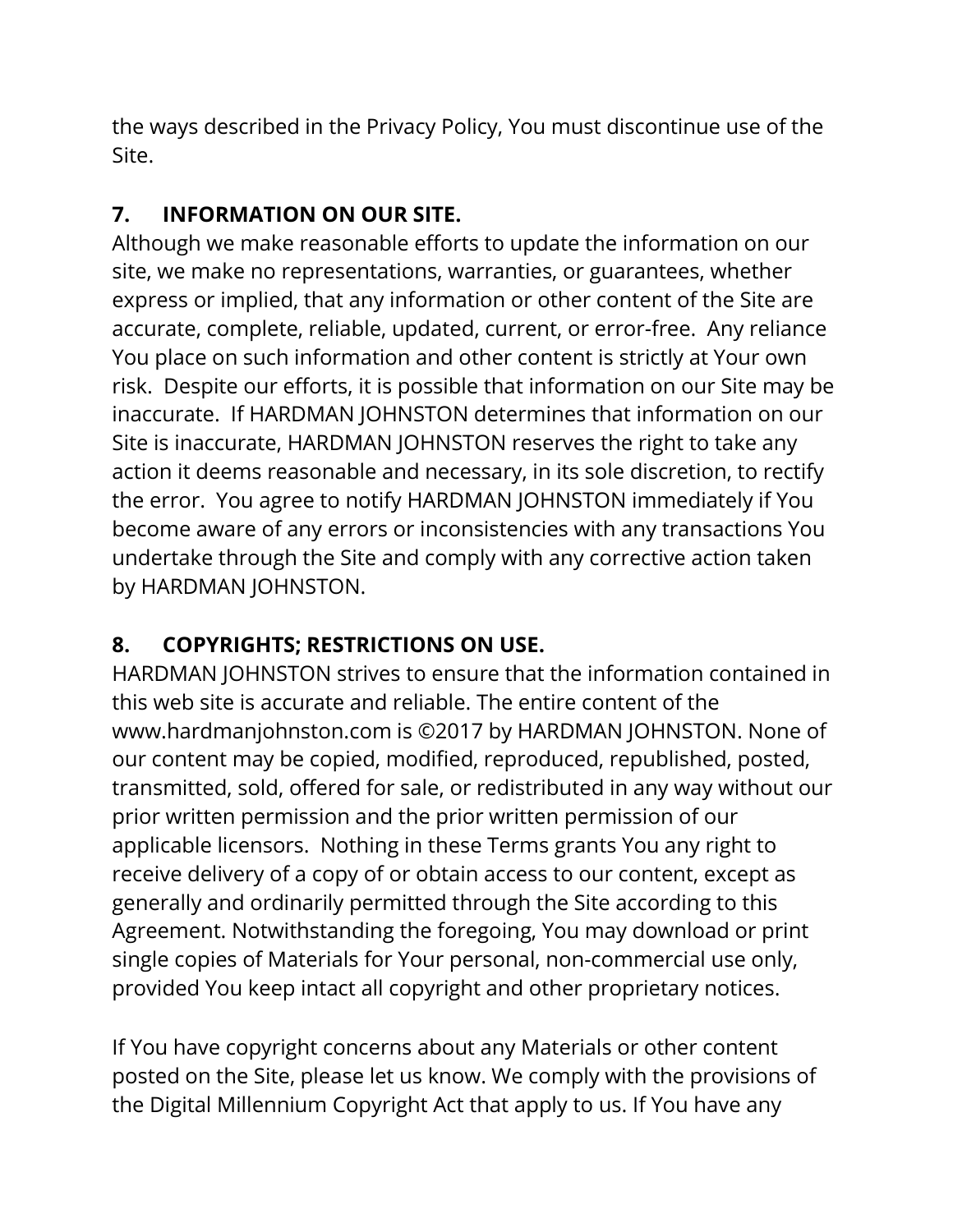the ways described in the Privacy Policy, You must discontinue use of the Site.

## **7. INFORMATION ON OUR SITE.**

Although we make reasonable efforts to update the information on our site, we make no representations, warranties, or guarantees, whether express or implied, that any information or other content of the Site are accurate, complete, reliable, updated, current, or error-free. Any reliance You place on such information and other content is strictly at Your own risk. Despite our efforts, it is possible that information on our Site may be inaccurate. If HARDMAN JOHNSTON determines that information on our Site is inaccurate, HARDMAN JOHNSTON reserves the right to take any action it deems reasonable and necessary, in its sole discretion, to rectify the error. You agree to notify HARDMAN JOHNSTON immediately if You become aware of any errors or inconsistencies with any transactions You undertake through the Site and comply with any corrective action taken by HARDMAN JOHNSTON.

## **8. COPYRIGHTS; RESTRICTIONS ON USE.**

HARDMAN JOHNSTON strives to ensure that the information contained in this web site is accurate and reliable. The entire content of the www.hardmanjohnston.com is ©2017 by HARDMAN JOHNSTON. None of our content may be copied, modified, reproduced, republished, posted, transmitted, sold, offered for sale, or redistributed in any way without our prior written permission and the prior written permission of our applicable licensors. Nothing in these Terms grants You any right to receive delivery of a copy of or obtain access to our content, except as generally and ordinarily permitted through the Site according to this Agreement. Notwithstanding the foregoing, You may download or print single copies of Materials for Your personal, non-commercial use only, provided You keep intact all copyright and other proprietary notices.

If You have copyright concerns about any Materials or other content posted on the Site, please let us know. We comply with the provisions of the Digital Millennium Copyright Act that apply to us. If You have any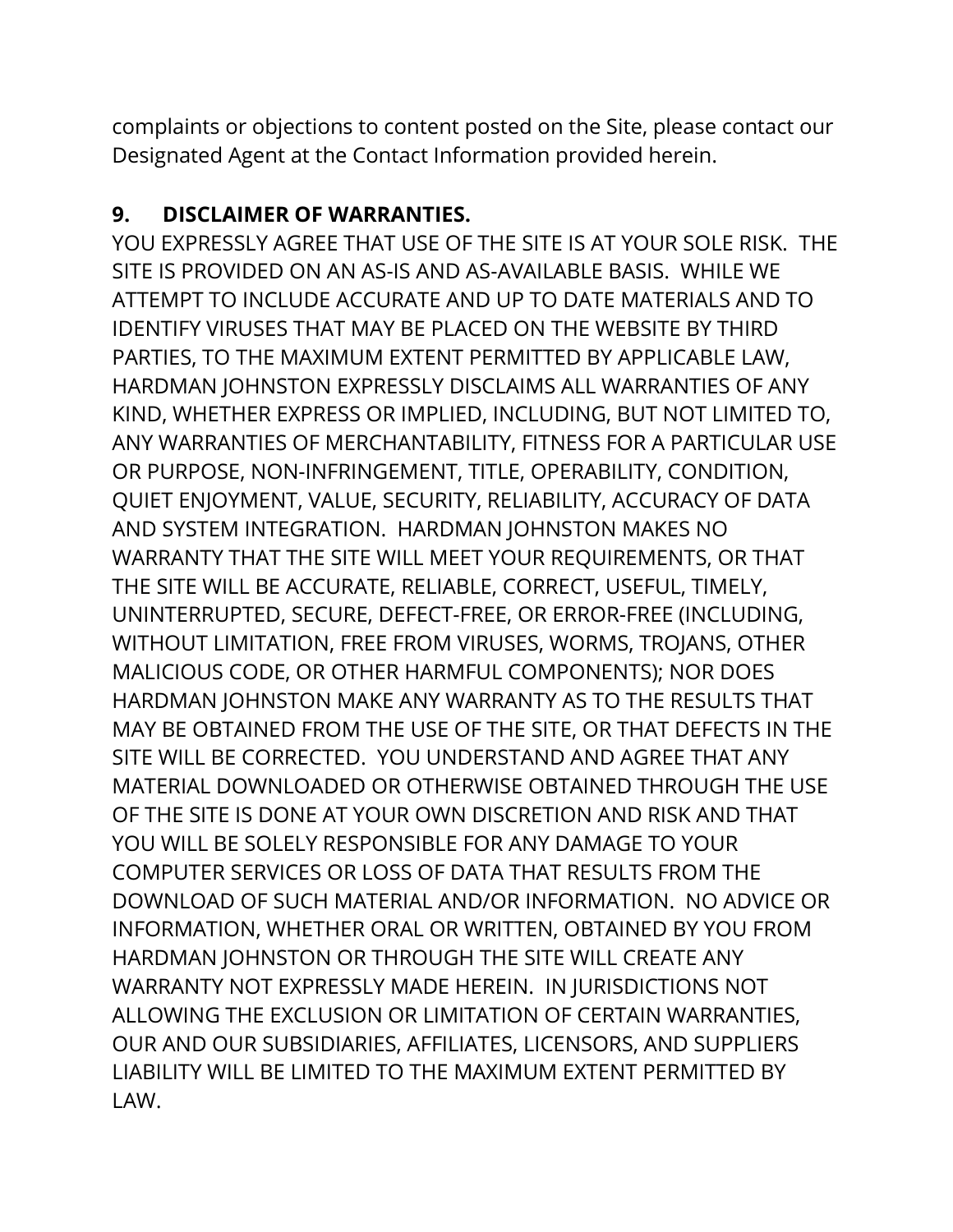complaints or objections to content posted on the Site, please contact our Designated Agent at the Contact Information provided herein.

#### **9. DISCLAIMER OF WARRANTIES.**

YOU EXPRESSLY AGREE THAT USE OF THE SITE IS AT YOUR SOLE RISK. THE SITE IS PROVIDED ON AN AS-IS AND AS-AVAILABLE BASIS. WHILE WE ATTEMPT TO INCLUDE ACCURATE AND UP TO DATE MATERIALS AND TO IDENTIFY VIRUSES THAT MAY BE PLACED ON THE WEBSITE BY THIRD PARTIES, TO THE MAXIMUM EXTENT PERMITTED BY APPLICABLE LAW, HARDMAN JOHNSTON EXPRESSLY DISCLAIMS ALL WARRANTIES OF ANY KIND, WHETHER EXPRESS OR IMPLIED, INCLUDING, BUT NOT LIMITED TO, ANY WARRANTIES OF MERCHANTABILITY, FITNESS FOR A PARTICULAR USE OR PURPOSE, NON-INFRINGEMENT, TITLE, OPERABILITY, CONDITION, QUIET ENJOYMENT, VALUE, SECURITY, RELIABILITY, ACCURACY OF DATA AND SYSTEM INTEGRATION. HARDMAN JOHNSTON MAKES NO WARRANTY THAT THE SITE WILL MEET YOUR REQUIREMENTS, OR THAT THE SITE WILL BE ACCURATE, RELIABLE, CORRECT, USEFUL, TIMELY, UNINTERRUPTED, SECURE, DEFECT-FREE, OR ERROR-FREE (INCLUDING, WITHOUT LIMITATION, FREE FROM VIRUSES, WORMS, TROJANS, OTHER MALICIOUS CODE, OR OTHER HARMFUL COMPONENTS); NOR DOES HARDMAN JOHNSTON MAKE ANY WARRANTY AS TO THE RESULTS THAT MAY BE OBTAINED FROM THE USE OF THE SITE, OR THAT DEFECTS IN THE SITE WILL BE CORRECTED. YOU UNDERSTAND AND AGREE THAT ANY MATERIAL DOWNLOADED OR OTHERWISE OBTAINED THROUGH THE USE OF THE SITE IS DONE AT YOUR OWN DISCRETION AND RISK AND THAT YOU WILL BE SOLELY RESPONSIBLE FOR ANY DAMAGE TO YOUR COMPUTER SERVICES OR LOSS OF DATA THAT RESULTS FROM THE DOWNLOAD OF SUCH MATERIAL AND/OR INFORMATION. NO ADVICE OR INFORMATION, WHETHER ORAL OR WRITTEN, OBTAINED BY YOU FROM HARDMAN JOHNSTON OR THROUGH THE SITE WILL CREATE ANY WARRANTY NOT EXPRESSLY MADE HEREIN. IN JURISDICTIONS NOT ALLOWING THE EXCLUSION OR LIMITATION OF CERTAIN WARRANTIES, OUR AND OUR SUBSIDIARIES, AFFILIATES, LICENSORS, AND SUPPLIERS LIABILITY WILL BE LIMITED TO THE MAXIMUM EXTENT PERMITTED BY LAW.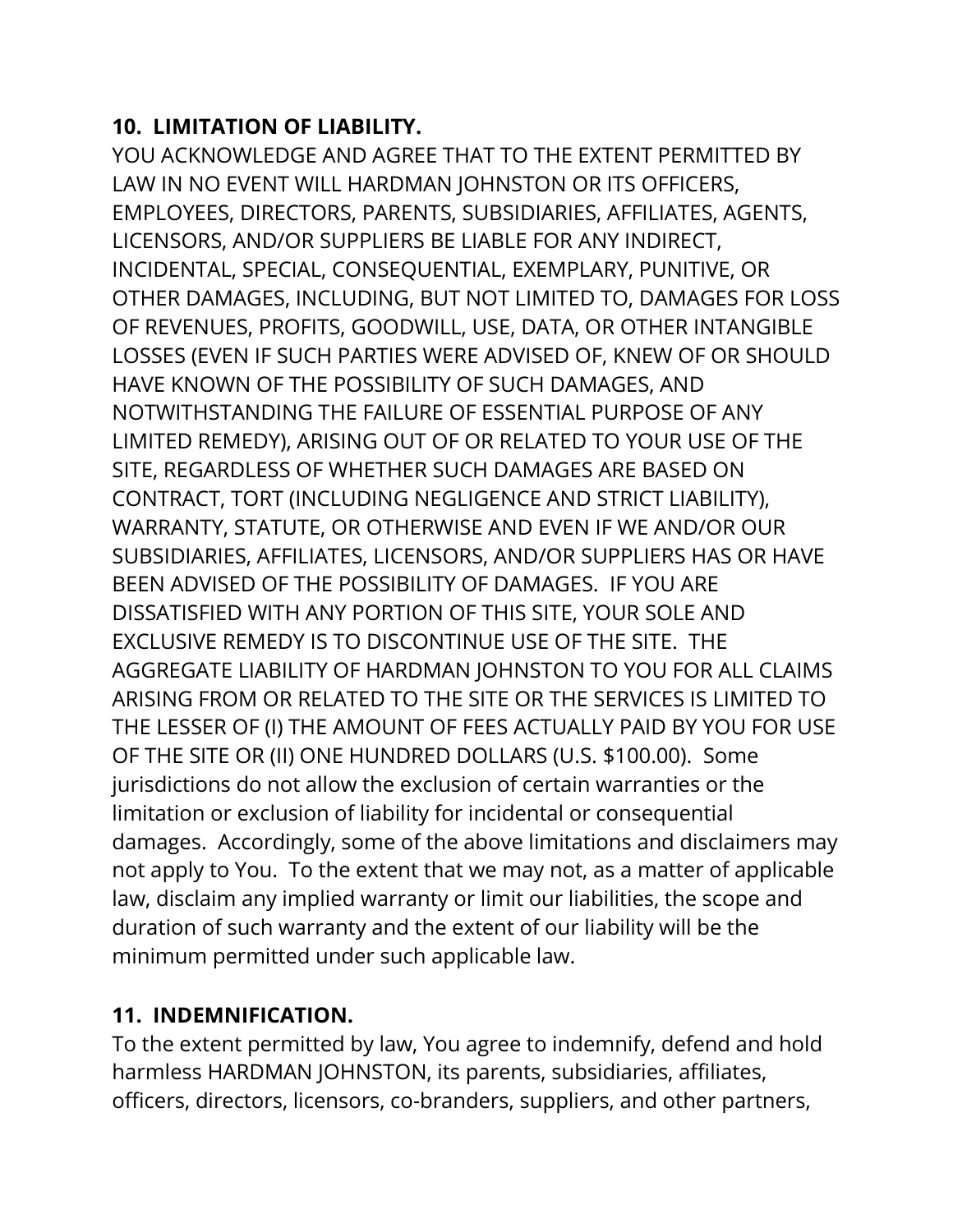#### **10. LIMITATION OF LIABILITY.**

YOU ACKNOWLEDGE AND AGREE THAT TO THE EXTENT PERMITTED BY LAW IN NO EVENT WILL HARDMAN JOHNSTON OR ITS OFFICERS, EMPLOYEES, DIRECTORS, PARENTS, SUBSIDIARIES, AFFILIATES, AGENTS, LICENSORS, AND/OR SUPPLIERS BE LIABLE FOR ANY INDIRECT, INCIDENTAL, SPECIAL, CONSEQUENTIAL, EXEMPLARY, PUNITIVE, OR OTHER DAMAGES, INCLUDING, BUT NOT LIMITED TO, DAMAGES FOR LOSS OF REVENUES, PROFITS, GOODWILL, USE, DATA, OR OTHER INTANGIBLE LOSSES (EVEN IF SUCH PARTIES WERE ADVISED OF, KNEW OF OR SHOULD HAVE KNOWN OF THE POSSIBILITY OF SUCH DAMAGES, AND NOTWITHSTANDING THE FAILURE OF ESSENTIAL PURPOSE OF ANY LIMITED REMEDY), ARISING OUT OF OR RELATED TO YOUR USE OF THE SITE, REGARDLESS OF WHETHER SUCH DAMAGES ARE BASED ON CONTRACT, TORT (INCLUDING NEGLIGENCE AND STRICT LIABILITY), WARRANTY, STATUTE, OR OTHERWISE AND EVEN IF WE AND/OR OUR SUBSIDIARIES, AFFILIATES, LICENSORS, AND/OR SUPPLIERS HAS OR HAVE BEEN ADVISED OF THE POSSIBILITY OF DAMAGES. IF YOU ARE DISSATISFIED WITH ANY PORTION OF THIS SITE, YOUR SOLE AND EXCLUSIVE REMEDY IS TO DISCONTINUE USE OF THE SITE. THE AGGREGATE LIABILITY OF HARDMAN JOHNSTON TO YOU FOR ALL CLAIMS ARISING FROM OR RELATED TO THE SITE OR THE SERVICES IS LIMITED TO THE LESSER OF (I) THE AMOUNT OF FEES ACTUALLY PAID BY YOU FOR USE OF THE SITE OR (II) ONE HUNDRED DOLLARS (U.S. \$100.00). Some jurisdictions do not allow the exclusion of certain warranties or the limitation or exclusion of liability for incidental or consequential damages. Accordingly, some of the above limitations and disclaimers may not apply to You. To the extent that we may not, as a matter of applicable law, disclaim any implied warranty or limit our liabilities, the scope and duration of such warranty and the extent of our liability will be the minimum permitted under such applicable law.

#### **11. INDEMNIFICATION.**

To the extent permitted by law, You agree to indemnify, defend and hold harmless HARDMAN JOHNSTON, its parents, subsidiaries, affiliates, officers, directors, licensors, co-branders, suppliers, and other partners,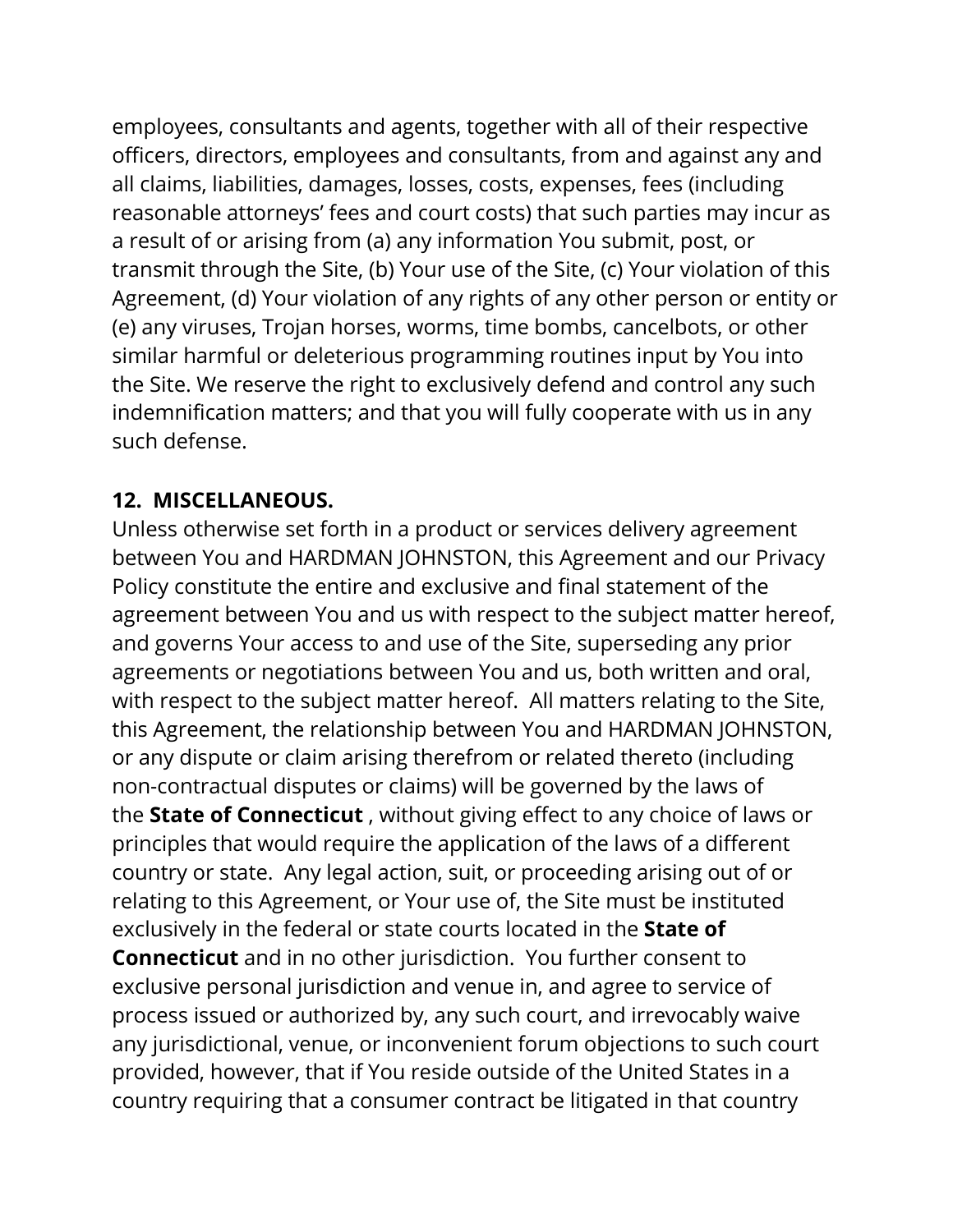employees, consultants and agents, together with all of their respective officers, directors, employees and consultants, from and against any and all claims, liabilities, damages, losses, costs, expenses, fees (including reasonable attorneys' fees and court costs) that such parties may incur as a result of or arising from (a) any information You submit, post, or transmit through the Site, (b) Your use of the Site, (c) Your violation of this Agreement, (d) Your violation of any rights of any other person or entity or (e) any viruses, Trojan horses, worms, time bombs, cancelbots, or other similar harmful or deleterious programming routines input by You into the Site. We reserve the right to exclusively defend and control any such indemnification matters; and that you will fully cooperate with us in any such defense.

#### **12. MISCELLANEOUS.**

Unless otherwise set forth in a product or services delivery agreement between You and HARDMAN JOHNSTON, this Agreement and our Privacy Policy constitute the entire and exclusive and final statement of the agreement between You and us with respect to the subject matter hereof, and governs Your access to and use of the Site, superseding any prior agreements or negotiations between You and us, both written and oral, with respect to the subject matter hereof. All matters relating to the Site, this Agreement, the relationship between You and HARDMAN JOHNSTON, or any dispute or claim arising therefrom or related thereto (including non-contractual disputes or claims) will be governed by the laws of the **State of Connecticut** , without giving effect to any choice of laws or principles that would require the application of the laws of a different country or state. Any legal action, suit, or proceeding arising out of or relating to this Agreement, or Your use of, the Site must be instituted exclusively in the federal or state courts located in the **State of Connecticut** and in no other jurisdiction. You further consent to exclusive personal jurisdiction and venue in, and agree to service of process issued or authorized by, any such court, and irrevocably waive any jurisdictional, venue, or inconvenient forum objections to such court provided, however, that if You reside outside of the United States in a country requiring that a consumer contract be litigated in that country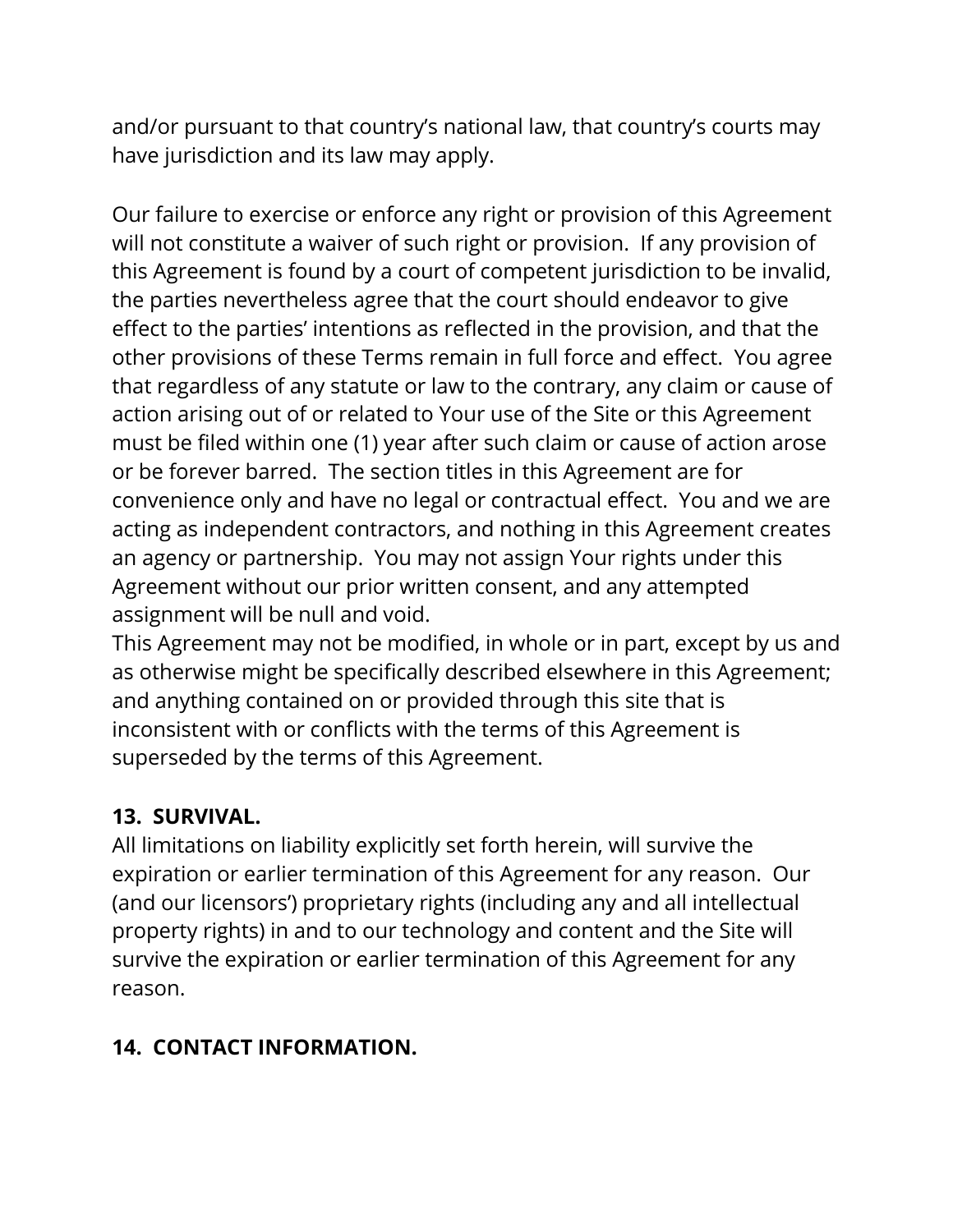and/or pursuant to that country's national law, that country's courts may have jurisdiction and its law may apply.

Our failure to exercise or enforce any right or provision of this Agreement will not constitute a waiver of such right or provision. If any provision of this Agreement is found by a court of competent jurisdiction to be invalid, the parties nevertheless agree that the court should endeavor to give effect to the parties' intentions as reflected in the provision, and that the other provisions of these Terms remain in full force and effect. You agree that regardless of any statute or law to the contrary, any claim or cause of action arising out of or related to Your use of the Site or this Agreement must be filed within one (1) year after such claim or cause of action arose or be forever barred. The section titles in this Agreement are for convenience only and have no legal or contractual effect. You and we are acting as independent contractors, and nothing in this Agreement creates an agency or partnership. You may not assign Your rights under this Agreement without our prior written consent, and any attempted assignment will be null and void.

This Agreement may not be modified, in whole or in part, except by us and as otherwise might be specifically described elsewhere in this Agreement; and anything contained on or provided through this site that is inconsistent with or conflicts with the terms of this Agreement is superseded by the terms of this Agreement.

#### **13. SURVIVAL.**

All limitations on liability explicitly set forth herein, will survive the expiration or earlier termination of this Agreement for any reason. Our (and our licensors') proprietary rights (including any and all intellectual property rights) in and to our technology and content and the Site will survive the expiration or earlier termination of this Agreement for any reason.

### **14. CONTACT INFORMATION.**